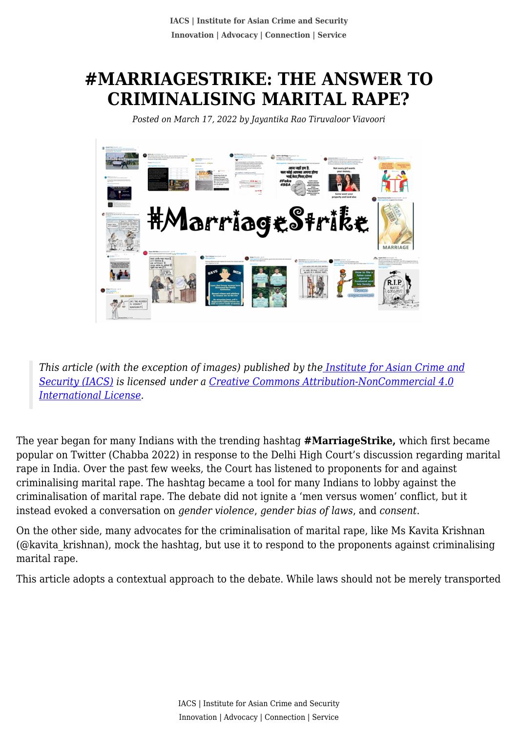# **#MARRIAGESTRIKE: THE ANSWER TO CRIMINALISING MARITAL RAPE?**

*Posted on March 17, 2022 by Jayantika Rao Tiruvaloor Viavoori*



*This article (with the exception of images) published by th[e Institute for Asian Crime and](http://www.theiacs.org) [Security \(IACS\)](http://www.theiacs.org) is licensed under a [Creative Commons Attribution-NonCommercial 4.0](http://creativecommons.org/licenses/by-nc/4.0/) [International License](http://creativecommons.org/licenses/by-nc/4.0/).*

The year began for many Indians with the trending hashtag **#MarriageStrike,** which first became popular on Twitter (Chabba 2022) in response to the Delhi High Court's discussion regarding marital rape in India. Over the past few weeks, the Court has listened to proponents for and against criminalising marital rape. The hashtag became a tool for many Indians to lobby against the criminalisation of marital rape. The debate did not ignite a 'men versus women' conflict, but it instead evoked a conversation on *gender violence*, *gender bias of laws*, and *consent*.

On the other side, many advocates for the criminalisation of marital rape, like Ms Kavita Krishnan (@kavita\_krishnan), mock the hashtag, but use it to respond to the proponents against criminalising marital rape.

This article adopts a contextual approach to the debate. While laws should not be merely transported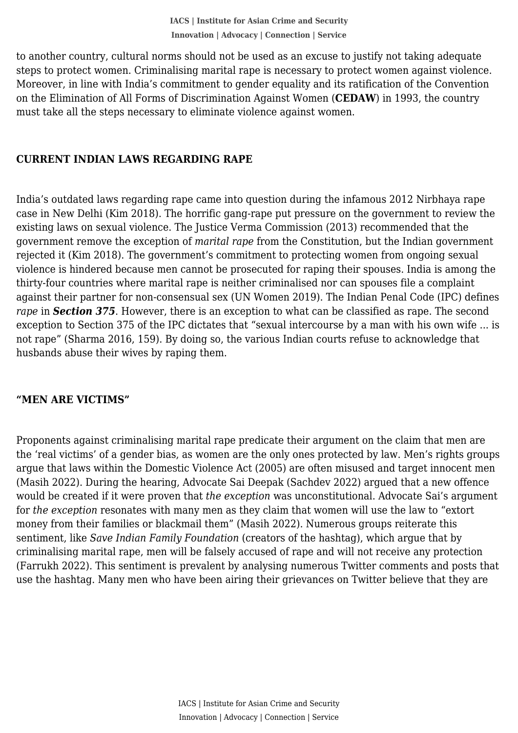steps to protect women. Criminalising marital rape is necessary to protect women against violence. to another country, cultural norms should not be used as an excuse to justify not taking adequate Moreover, in line with India's commitment to gender equality and its ratification of the Convention on the Elimination of All Forms of Discrimination Against Women (**CEDAW**) in 1993, the country must take all the steps necessary to eliminate violence against women.

#### **CURRENT INDIAN LAWS REGARDING RAPE**

India's outdated laws regarding rape came into question during the infamous 2012 Nirbhaya rape case in New Delhi (Kim 2018). The horrific gang-rape put pressure on the government to review the existing laws on sexual violence. The Justice Verma Commission (2013) recommended that the government remove the exception of *marital rape* from the Constitution, but the Indian government rejected it (Kim 2018). The government's commitment to protecting women from ongoing sexual violence is hindered because men cannot be prosecuted for raping their spouses. India is among the thirty-four countries where marital rape is neither criminalised nor can spouses file a complaint against their partner for non-consensual sex (UN Women 2019). The Indian Penal Code (IPC) defines *rape* in *Section 375*. However, there is an exception to what can be classified as rape. The second exception to Section 375 of the IPC dictates that "sexual intercourse by a man with his own wife ... is not rape" (Sharma 2016, 159). By doing so, the various Indian courts refuse to acknowledge that husbands abuse their wives by raping them.

#### **"MEN ARE VICTIMS"**

Proponents against criminalising marital rape predicate their argument on the claim that men are the 'real victims' of a gender bias, as women are the only ones protected by law. Men's rights groups argue that laws within the Domestic Violence Act (2005) are often misused and target innocent men (Masih 2022). During the hearing, Advocate Sai Deepak (Sachdev 2022) argued that a new offence would be created if it were proven that *the exception* was unconstitutional. Advocate Sai's argument for *the exception* resonates with many men as they claim that women will use the law to "extort money from their families or blackmail them" (Masih 2022). Numerous groups reiterate this sentiment, like *Save Indian Family Foundation* (creators of the hashtag), which argue that by criminalising marital rape, men will be falsely accused of rape and will not receive any protection (Farrukh 2022). This sentiment is prevalent by analysing numerous Twitter comments and posts that use the hashtag. Many men who have been airing their grievances on Twitter believe that they are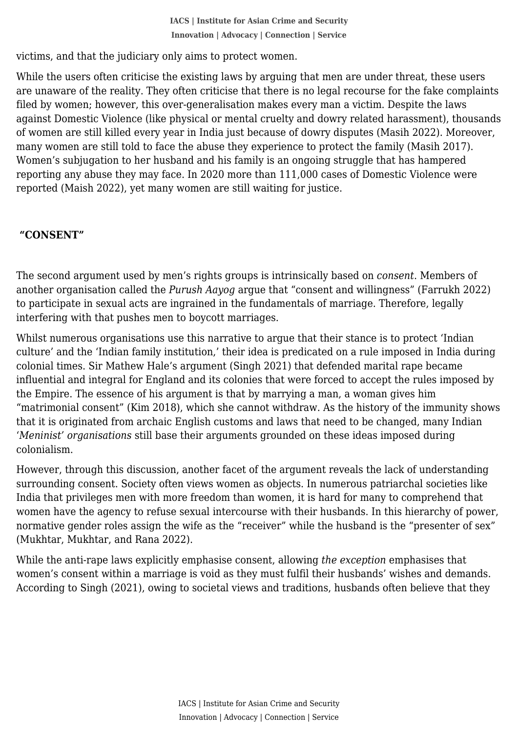victims, and that the judiciary only aims to protect women.

 While the users often criticise the existing laws by arguing that men are under threat, these users are unaware of the reality. They often criticise that there is no legal recourse for the fake complaints filed by women; however, this over-generalisation makes every man a victim. Despite the laws against Domestic Violence (like physical or mental cruelty and dowry related harassment), thousands of women are still killed every year in India just because of dowry disputes (Masih 2022). Moreover, many women are still told to face the abuse they experience to protect the family (Masih 2017). Women's subjugation to her husband and his family is an ongoing struggle that has hampered reporting any abuse they may face. In 2020 more than 111,000 cases of Domestic Violence were reported (Maish 2022), yet many women are still waiting for justice.

## **"CONSENT"**

The second argument used by men's rights groups is intrinsically based on *consent*. Members of another organisation called the *Purush Aayog* argue that "consent and willingness" (Farrukh 2022) to participate in sexual acts are ingrained in the fundamentals of marriage. Therefore, legally interfering with that pushes men to boycott marriages.

Whilst numerous organisations use this narrative to argue that their stance is to protect 'Indian culture' and the 'Indian family institution,' their idea is predicated on a rule imposed in India during colonial times. Sir Mathew Hale's argument (Singh 2021) that defended marital rape became influential and integral for England and its colonies that were forced to accept the rules imposed by the Empire. The essence of his argument is that by marrying a man, a woman gives him "matrimonial consent" (Kim 2018), which she cannot withdraw. As the history of the immunity shows that it is originated from archaic English customs and laws that need to be changed, many Indian '*Meninist' organisations* still base their arguments grounded on these ideas imposed during colonialism.

However, through this discussion, another facet of the argument reveals the lack of understanding surrounding consent. Society often views women as objects. In numerous patriarchal societies like India that privileges men with more freedom than women, it is hard for many to comprehend that women have the agency to refuse sexual intercourse with their husbands. In this hierarchy of power, normative gender roles assign the wife as the "receiver" while the husband is the "presenter of sex" (Mukhtar, Mukhtar, and Rana 2022).

While the anti-rape laws explicitly emphasise consent, allowing *the exception* emphasises that women's consent within a marriage is void as they must fulfil their husbands' wishes and demands. According to Singh (2021), owing to societal views and traditions, husbands often believe that they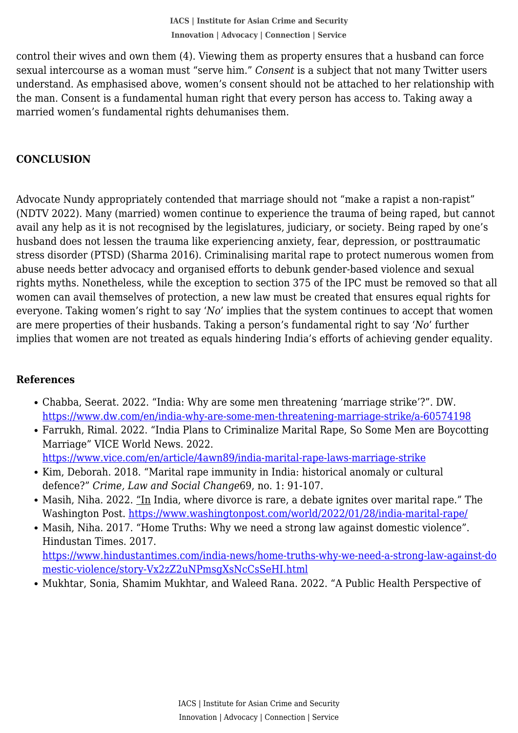sexual intercourse as a woman must "serve him." *Consent* is a subject that not many Twitter users control their wives and own them (4). Viewing them as property ensures that a husband can force understand. As emphasised above, women's consent should not be attached to her relationship with the man. Consent is a fundamental human right that every person has access to. Taking away a married women's fundamental rights dehumanises them.

### **CONCLUSION**

Advocate Nundy appropriately contended that marriage should not "make a rapist a non-rapist" (NDTV 2022). Many (married) women continue to experience the trauma of being raped, but cannot avail any help as it is not recognised by the legislatures, judiciary, or society. Being raped by one's husband does not lessen the trauma like experiencing anxiety, fear, depression, or posttraumatic stress disorder (PTSD) (Sharma 2016). Criminalising marital rape to protect numerous women from abuse needs better advocacy and organised efforts to debunk gender-based violence and sexual rights myths. Nonetheless, while the exception to section 375 of the IPC must be removed so that all women can avail themselves of protection, a new law must be created that ensures equal rights for everyone. Taking women's right to say '*No*' implies that the system continues to accept that women are mere properties of their husbands. Taking a person's fundamental right to say '*No*' further implies that women are not treated as equals hindering India's efforts of achieving gender equality.

## **References**

- Chabba, Seerat. 2022. "India: Why are some men threatening 'marriage strike'?". DW. <https://www.dw.com/en/india-why-are-some-men-threatening-marriage-strike/a-60574198>
- Farrukh, Rimal. 2022. "India Plans to Criminalize Marital Rape, So Some Men are Boycotting Marriage" VICE World News. 2022. <https://www.vice.com/en/article/4awn89/india-marital-rape-laws-marriage-strike>
- Kim, Deborah. 2018. "Marital rape immunity in India: historical anomaly or cultural defence?" *Crime, Law and Social Change*69, no. 1: 91-107.
- Masih, Niha. 2022. "In India, where divorce is rare, a debate ignites over marital rape." The Washington Post. <https://www.washingtonpost.com/world/2022/01/28/india-marital-rape/>
- Masih, Niha. 2017. "Home Truths: Why we need a strong law against domestic violence". Hindustan Times. 2017. [https://www.hindustantimes.com/india-news/home-truths-why-we-need-a-strong-law-against-do](https://www.hindustantimes.com/india-news/home-truths-why-we-need-a-strong-law-against-domestic-violence/story-Vx2zZ2uNPmsgXsNcCsSeHI.html)

[mestic-violence/story-Vx2zZ2uNPmsgXsNcCsSeHI.html](https://www.hindustantimes.com/india-news/home-truths-why-we-need-a-strong-law-against-domestic-violence/story-Vx2zZ2uNPmsgXsNcCsSeHI.html)

• Mukhtar, Sonia, Shamim Mukhtar, and Waleed Rana. 2022. "A Public Health Perspective of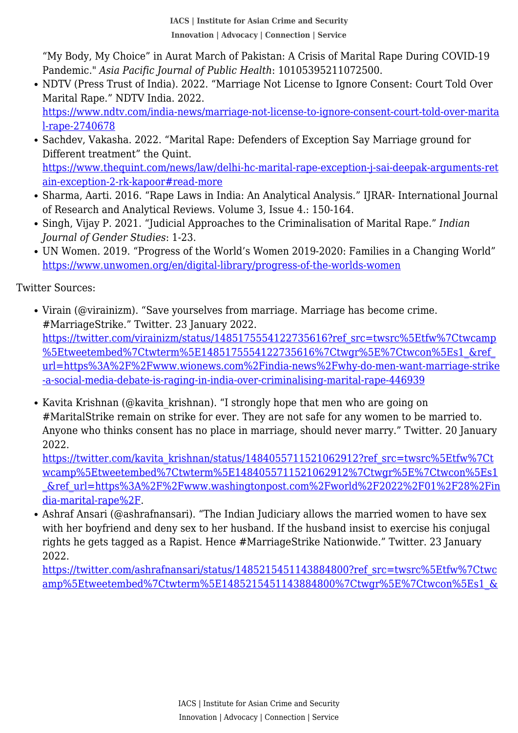Pandemic." *Asia Pacific Journal of Public Health*: 10105395211072500. "My Body, My Choice" in Aurat March of Pakistan: A Crisis of Marital Rape During COVID-19

- NDTV (Press Trust of India). 2022. "Marriage Not License to Ignore Consent: Court Told Over Marital Rape." NDTV India. 2022. [https://www.ndtv.com/india-news/marriage-not-license-to-ignore-consent-court-told-over-marita](https://www.ndtv.com/india-news/marriage-not-license-to-ignore-consent-court-told-over-marital-rape-2740678) [l-rape-2740678](https://www.ndtv.com/india-news/marriage-not-license-to-ignore-consent-court-told-over-marital-rape-2740678)
- Sachdev, Vakasha. 2022. "Marital Rape: Defenders of Exception Say Marriage ground for Different treatment" the Quint. [https://www.thequint.com/news/law/delhi-hc-marital-rape-exception-j-sai-deepak-arguments-ret](https://www.thequint.com/news/law/delhi-hc-marital-rape-exception-j-sai-deepak-arguments-retain-exception-2-rk-kapoor#read-more) [ain-exception-2-rk-kapoor#read-more](https://www.thequint.com/news/law/delhi-hc-marital-rape-exception-j-sai-deepak-arguments-retain-exception-2-rk-kapoor#read-more)
- Sharma, Aarti. 2016. "Rape Laws in India: An Analytical Analysis." IIRAR- International Journal of Research and Analytical Reviews. Volume 3, Issue 4.: 150-164.
- Singh, Vijay P. 2021. "Judicial Approaches to the Criminalisation of Marital Rape." *Indian Journal of Gender Studies*: 1-23.
- UN Women. 2019. "Progress of the World's Women 2019-2020: Families in a Changing World" <https://www.unwomen.org/en/digital-library/progress-of-the-worlds-women>

Twitter Sources:

- Virain (@virainizm). "Save yourselves from marriage. Marriage has become crime. #MarriageStrike." Twitter. 23 January 2022. [https://twitter.com/virainizm/status/1485175554122735616?ref\\_src=twsrc%5Etfw%7Ctwcamp](https://twitter.com/virainizm/status/1485175554122735616?ref_src=twsrc%5Etfw%7Ctwcamp%5Etweetembed%7Ctwterm%5E1485175554122735616%7Ctwgr%5E%7Ctwcon%5Es1_&ref_url=https%3A%2F%2Fwww.wionews.com%2Findia-news%2Fwhy-do-men-want-marriage-strike-a-social-media-debate-is-raging-in-india-over-criminalising-marital-rape-446939) [%5Etweetembed%7Ctwterm%5E1485175554122735616%7Ctwgr%5E%7Ctwcon%5Es1\\_&ref\\_](https://twitter.com/virainizm/status/1485175554122735616?ref_src=twsrc%5Etfw%7Ctwcamp%5Etweetembed%7Ctwterm%5E1485175554122735616%7Ctwgr%5E%7Ctwcon%5Es1_&ref_url=https%3A%2F%2Fwww.wionews.com%2Findia-news%2Fwhy-do-men-want-marriage-strike-a-social-media-debate-is-raging-in-india-over-criminalising-marital-rape-446939) [url=https%3A%2F%2Fwww.wionews.com%2Findia-news%2Fwhy-do-men-want-marriage-strike](https://twitter.com/virainizm/status/1485175554122735616?ref_src=twsrc%5Etfw%7Ctwcamp%5Etweetembed%7Ctwterm%5E1485175554122735616%7Ctwgr%5E%7Ctwcon%5Es1_&ref_url=https%3A%2F%2Fwww.wionews.com%2Findia-news%2Fwhy-do-men-want-marriage-strike-a-social-media-debate-is-raging-in-india-over-criminalising-marital-rape-446939) [-a-social-media-debate-is-raging-in-india-over-criminalising-marital-rape-446939](https://twitter.com/virainizm/status/1485175554122735616?ref_src=twsrc%5Etfw%7Ctwcamp%5Etweetembed%7Ctwterm%5E1485175554122735616%7Ctwgr%5E%7Ctwcon%5Es1_&ref_url=https%3A%2F%2Fwww.wionews.com%2Findia-news%2Fwhy-do-men-want-marriage-strike-a-social-media-debate-is-raging-in-india-over-criminalising-marital-rape-446939)
- Kavita Krishnan (@kavita krishnan). "I strongly hope that men who are going on #MaritalStrike remain on strike for ever. They are not safe for any women to be married to. Anyone who thinks consent has no place in marriage, should never marry." Twitter. 20 January 2022.

[https://twitter.com/kavita\\_krishnan/status/1484055711521062912?ref\\_src=twsrc%5Etfw%7Ct](https://twitter.com/kavita_krishnan/status/1484055711521062912?ref_src=twsrc%5Etfw%7Ctwcamp%5Etweetembed%7Ctwterm%5E1484055711521062912%7Ctwgr%5E%7Ctwcon%5Es1_&ref_url=https%3A%2F%2Fwww.washingtonpost.com%2Fworld%2F2022%2F01%2F28%2Findia-marital-rape%2F) [wcamp%5Etweetembed%7Ctwterm%5E1484055711521062912%7Ctwgr%5E%7Ctwcon%5Es1](https://twitter.com/kavita_krishnan/status/1484055711521062912?ref_src=twsrc%5Etfw%7Ctwcamp%5Etweetembed%7Ctwterm%5E1484055711521062912%7Ctwgr%5E%7Ctwcon%5Es1_&ref_url=https%3A%2F%2Fwww.washingtonpost.com%2Fworld%2F2022%2F01%2F28%2Findia-marital-rape%2F) [\\_&ref\\_url=https%3A%2F%2Fwww.washingtonpost.com%2Fworld%2F2022%2F01%2F28%2Fin](https://twitter.com/kavita_krishnan/status/1484055711521062912?ref_src=twsrc%5Etfw%7Ctwcamp%5Etweetembed%7Ctwterm%5E1484055711521062912%7Ctwgr%5E%7Ctwcon%5Es1_&ref_url=https%3A%2F%2Fwww.washingtonpost.com%2Fworld%2F2022%2F01%2F28%2Findia-marital-rape%2F) [dia-marital-rape%2F.](https://twitter.com/kavita_krishnan/status/1484055711521062912?ref_src=twsrc%5Etfw%7Ctwcamp%5Etweetembed%7Ctwterm%5E1484055711521062912%7Ctwgr%5E%7Ctwcon%5Es1_&ref_url=https%3A%2F%2Fwww.washingtonpost.com%2Fworld%2F2022%2F01%2F28%2Findia-marital-rape%2F)

Ashraf Ansari (@ashrafnansari). "The Indian Judiciary allows the married women to have sex with her boyfriend and deny sex to her husband. If the husband insist to exercise his conjugal rights he gets tagged as a Rapist. Hence #MarriageStrike Nationwide." Twitter. 23 January 2022.

[https://twitter.com/ashrafnansari/status/1485215451143884800?ref\\_src=twsrc%5Etfw%7Ctwc](https://twitter.com/ashrafnansari/status/1485215451143884800?ref_src=twsrc%5Etfw%7Ctwcamp%5Etweetembed%7Ctwterm%5E1485215451143884800%7Ctwgr%5E%7Ctwcon%5Es1_&ref_url=https%3A%2F%2Fwww.wionews.com%2Findia-news%2Fwhy-do-men-want-marriage-strike-a-social-media-debate-is-raging-in-india-over-criminalising-marital-rape-446939) [amp%5Etweetembed%7Ctwterm%5E1485215451143884800%7Ctwgr%5E%7Ctwcon%5Es1\\_&](https://twitter.com/ashrafnansari/status/1485215451143884800?ref_src=twsrc%5Etfw%7Ctwcamp%5Etweetembed%7Ctwterm%5E1485215451143884800%7Ctwgr%5E%7Ctwcon%5Es1_&ref_url=https%3A%2F%2Fwww.wionews.com%2Findia-news%2Fwhy-do-men-want-marriage-strike-a-social-media-debate-is-raging-in-india-over-criminalising-marital-rape-446939)